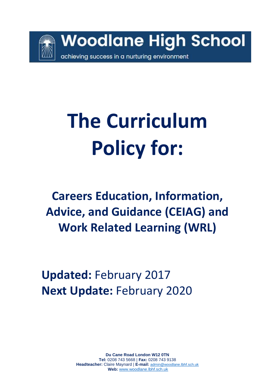

# **The Curriculum Policy for:**

**Careers Education, Information, Advice, and Guidance (CEIAG) and Work Related Learning (WRL)**

**Updated:** February 2017 **Next Update:** February 2020

> **Du Cane Road London W12 0TN Tel:** 0208 743 5668 | **Fax:** 0208 743 9138 **Headteacher:** Claire Maynard | **E-mail:** [admin@woodlane.lbhf.sch.uk](mailto:admin@woodlane.lbhf.sch.uk) **Web:** [www.woodlane.lbhf.sch.uk](http://www.woodlane.lbhf.sch.uk/)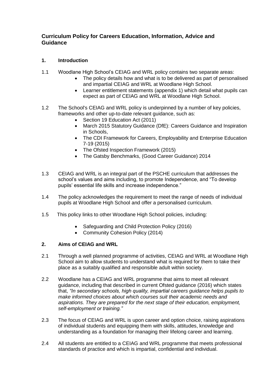### **Curriculum Policy for Careers Education, Information, Advice and Guidance**

#### **1. Introduction**

- 1.1 Woodlane High School's CEIAG and WRL policy contains two separate areas:
	- The policy details how and what is to be delivered as part of personalised and impartial CEIAG and WRL at Woodlane High School.
	- Learner entitlement statements (appendix 1) which detail what pupils can expect as part of CEIAG and WRL at Woodlane High School.
- 1.2 The School's CEIAG and WRL policy is underpinned by a number of key policies, frameworks and other up-to-date relevant guidance, such as:
	- Section 19 Education Act (2011)
	- March 2015 Statutory Guidance (DfE): Careers Guidance and Inspiration in Schools,
	- The CDI Framework for Careers, Employability and Enterprise Education 7-19 (2015)
	- The Ofsted Inspection Framework (2015)
	- The Gatsby Benchmarks, (Good Career Guidance) 2014
- 1.3 CEIAG and WRL is an integral part of the PSCHE curriculum that addresses the school's values and aims including, to promote Independence, and "To develop pupils' essential life skills and increase independence."
- 1.4 The policy acknowledges the requirement to meet the range of needs of individual pupils at Woodlane High School and offer a personalised curriculum.
- 1.5 This policy links to other Woodlane High School policies, including:
	- Safeguarding and Child Protection Policy (2016)
	- Community Cohesion Policy (2014)

#### **2. Aims of CEIAG and WRL**

- 2.1 Through a well planned programme of activities, CEIAG and WRL at Woodlane High School aim to allow students to understand what is required for them to take their place as a suitably qualified and responsible adult within society.
- 2.2 Woodlane has a CEIAG and WRL programme that aims to meet all relevant guidance, including that described in current Ofsted guidance (2016) which states that, *"In secondary schools, high quality, impartial careers guidance helps pupils to make informed choices about which courses suit their academic needs and aspirations. They are prepared for the next stage of their education, employment, self-employment or training."*
- 2.3 The focus of CEIAG and WRL is upon career and option choice, raising aspirations of individual students and equipping them with skills, attitudes, knowledge and understanding as a foundation for managing their lifelong career and learning.
- 2.4 All students are entitled to a CEIAG and WRL programme that meets professional standards of practice and which is impartial, confidential and individual.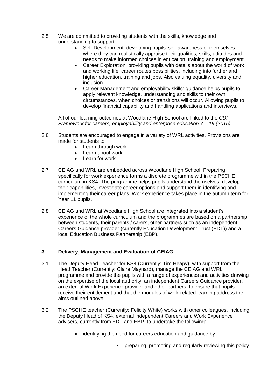- 2.5 We are committed to providing students with the skills, knowledge and understanding to support:
	- Self-Development: developing pupils' self-awareness of themselves where they can realistically appraise their qualities, skills, attitudes and needs to make informed choices in education, training and employment.
	- Career Exploration: providing pupils with details about the world of work and working life, career routes possibilities, including into further and higher education, training and jobs. Also valuing equality, diversity and inclusion.
	- Career Management and employability skills: guidance helps pupils to apply relevant knowledge, understanding and skills to their own circumstances, when choices or transitions will occur. Allowing pupils to develop financial capability and handling applications and interviews.

All of our learning outcomes at Woodlane High School are linked to the *CDI Framework for careers, employability and enterprise education 7 – 19 (2015)*

- 2.6 Students are encouraged to engage in a variety of WRL activities. Provisions are made for students to:
	- Learn through work
	- Learn about work
	- Learn for work
- 2.7 CEIAG and WRL are embedded across Woodlane High School. Preparing specifically for work experience forms a discrete programme within the PSCHE curriculum in KS4. The programme helps pupils understand themselves, develop their capabilities, investigate career options and support them in identifying and implementing their career plans. Work experience takes place in the autumn term for Year 11 pupils.
- 2.8 CEIAG and WRL at Woodlane High School are integrated into a student's experience of the whole curriculum and the programmes are based on a partnership between students, their parents / carers, other partners such as an independent Careers Guidance provider (currently Education Development Trust (EDT)) and a local Education Business Partnership (EBP).

#### **3. Delivery, Management and Evaluation of CEIAG**

- 3.1 The Deputy Head Teacher for KS4 (Currently: Tim Heapy), with support from the Head Teacher (Currently: Claire Maynard), manage the CEIAG and WRL programme and provide the pupils with a range of experiences and activities drawing on the expertise of the local authority, an independent Careers Guidance provider, an external Work Experience provider and other partners, to ensure that pupils receive their entitlement and that the modules of work related learning address the aims outlined above.
- 3.2 The PSCHE teacher (Currently: Felicity White) works with other colleagues, including the Deputy Head of KS4, external independent Careers and Work Experience advisers, currently from EDT and EBP, to undertake the following:
	- identifying the need for careers education and guidance by:
		- **Periode reparing, promoting and regularly reviewing this policy**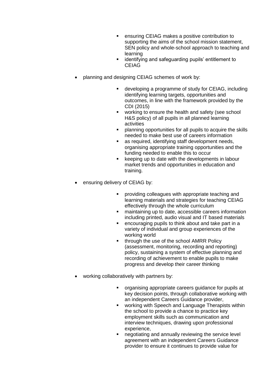- ensuring CEIAG makes a positive contribution to supporting the aims of the school mission statement, SEN policy and whole-school approach to teaching and learning
- identifying and safeguarding pupils' entitlement to CEIAG
- planning and designing CEIAG schemes of work by:
	- developing a programme of study for CEIAG, including identifying learning targets, opportunities and outcomes, in line with the framework provided by the CDI (2015)
	- working to ensure the health and safety (see school H&S policy) of all pupils in all planned learning activities
	- planning opportunities for all pupils to acquire the skills needed to make best use of careers information
	- as required, identifying staff development needs, organising appropriate training opportunities and the funding needed to enable this to occur
	- **EXECT** keeping up to date with the developments in labour market trends and opportunities in education and training.
- ensuring delivery of CEIAG by:
	- providing colleagues with appropriate teaching and learning materials and strategies for teaching CEIAG effectively through the whole curriculum
	- maintaining up to date, accessible careers information including printed, audio visual and IT based materials
	- encouraging pupils to think about and take part in a variety of individual and group experiences of the working world
	- through the use of the school AMRR Policy (assessment, monitoring, recording and reporting) policy, sustaining a system of effective planning and recording of achievement to enable pupils to make progress and develop their career thinking
- working collaboratively with partners by:
	- organising appropriate careers guidance for pupils at key decision points, through collaborative working with an independent Careers Guidance provider,
	- working with Speech and Language Therapists within the school to provide a chance to practice key employment skills such as communication and interview techniques, drawing upon professional experience,
	- negotiating and annually reviewing the service level agreement with an independent Careers Guidance provider to ensure it continues to provide value for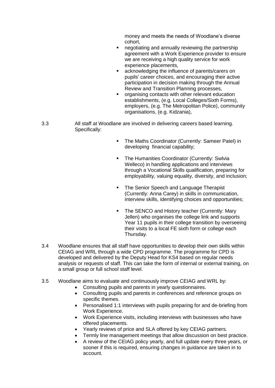money and meets the needs of Woodlane's diverse cohort,

- negotiating and annually reviewing the partnership agreement with a Work Experience provider to ensure we are receiving a high quality service for work experience placements,
- acknowledging the influence of parents/carers on pupils' career choices, and encouraging their active participation in decision making through the Annual Review and Transition Planning processes,
- organising contacts with other relevant education establishments, (e.g. Local Colleges/Sixth Forms), employers, (e.g. The Metropolitan Police), community organisations, (e.g. Kidzania),
- 3.3 All staff at Woodlane are involved in delivering careers based learning. Specifically:
	- The Maths Coordinator (Currently: Sameer Patel) in developing financial capability;
	- **The Humanities Coordinator (Currently: Swlvia** Welleco) in handling applications and interviews through a Vocational Skills qualification, preparing for employability, valuing equality, diversity, and inclusion;
	- The Senior Speech and Language Therapist (Currently: Anna Carey) in skills in communication, interview skills, identifying choices and opportunities;
	- The SENCO and History teacher (Currently: Mary Jellen) who organises the college link and supports Year 11 pupils in their college transition by overseeing their visits to a local FE sixth form or college each Thursday.
- 3.4 Woodlane ensures that all staff have opportunities to develop their own skills within CEIAG and WRL through a wide CPD programme. The programme for CPD is developed and delivered by the Deputy Head for KS4 based on regular needs analysis or requests of staff. This can take the form of internal or external training, on a small group or full school staff level.
- 3.5 Woodlane aims to evaluate and continuously improve CEIAG and WRL by:
	- Consulting pupils and parents in yearly questionnaires.
	- Consulting pupils and parents in conferences and reference groups on specific themes.
	- Personalised 1:1 interviews with pupils preparing for and de-briefing from Work Experience.
	- Work Experience visits, including interviews with businesses who have offered placements.
	- Yearly reviews of price and SLA offered by key CEIAG partners.
	- Termly line management meetings that allow discussion on best practice.
	- A review of the CEIAG policy yearly, and full update every three years, or sooner if this is required, ensuring changes in guidance are taken in to account.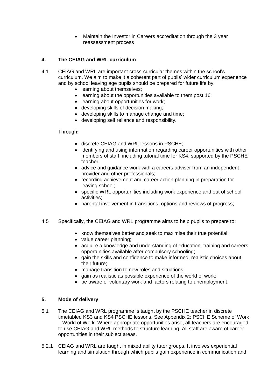Maintain the Investor in Careers accreditation through the 3 year reassessment process

#### **4. The CEIAG and WRL curriculum**

- 4.1 CEIAG and WRL are important cross-curricular themes within the school's curriculum. We aim to make it a coherent part of pupils' wider curriculum experience and by school leaving age pupils should be prepared for future life by:
	- learning about themselves;
	- learning about the opportunities available to them post 16:
	- learning about opportunities for work;
	- developing skills of decision making;
	- developing skills to manage change and time;
	- developing self reliance and responsibility.

#### Through**:**

- discrete CEIAG and WRL lessons in PSCHE;
- identifying and using information regarding career opportunities with other members of staff, including tutorial time for KS4, supported by the PSCHE teacher;
- advice and guidance work with a careers adviser from an independent provider and other professionals;
- recording achievement and career action planning in preparation for leaving school;
- specific WRL opportunities including work experience and out of school activities;
- parental involvement in transitions, options and reviews of progress;
- 4.5 Specifically, the CEIAG and WRL programme aims to help pupils to prepare to:
	- know themselves better and seek to maximise their true potential;
	- value career planning;
	- acquire a knowledge and understanding of education, training and careers opportunities available after compulsory schooling;
	- gain the skills and confidence to make informed, realistic choices about their future;
	- manage transition to new roles and situations;
	- gain as realistic as possible experience of the world of work;
	- be aware of voluntary work and factors relating to unemployment.

#### **5. Mode of delivery**

- 5.1 The CEIAG and WRL programme is taught by the PSCHE teacher in discrete timetabled KS3 and KS4 PSCHE lessons. See Appendix 2: PSCHE Scheme of Work – World of Work. Where appropriate opportunities arise, all teachers are encouraged to use CEIAG and WRL methods to structure learning. All staff are aware of career opportunities in their subject areas.
- 5.2.1 CEIAG and WRL are taught in mixed ability tutor groups. It involves experiential learning and simulation through which pupils gain experience in communication and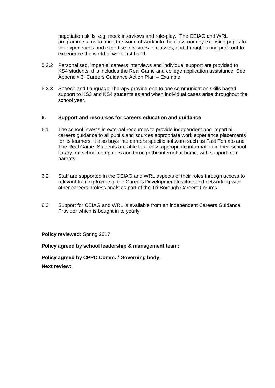negotiation skills, e.g. mock interviews and role-play. The CEIAG and WRL programme aims to bring the world of work into the classroom by exposing pupils to the experiences and expertise of visitors to classes, and through taking pupil out to experience the world of work first hand.

- 5.2.2 Personalised, impartial careers interviews and individual support are provided to KS4 students, this includes the Real Game and college application assistance. See Appendix 3: Careers Guidance Action Plan – Example.
- 5.2.3 Speech and Language Therapy provide one to one communication skills based support to KS3 and KS4 students as and when individual cases arise throughout the school year.

#### **6. Support and resources for careers education and guidance**

- 6.1 The school invests in external resources to provide independent and impartial careers guidance to all pupils and sources appropriate work experience placements for its learners. It also buys into careers specific software such as Fast Tomato and The Real Game. Students are able to access appropriate information in their school library, on school computers and through the internet at home, with support from parents.
- 6.2 Staff are supported in the CEIAG and WRL aspects of their roles through access to relevant training from e.g. the Careers Development Institute and networking with other careers professionals as part of the Tri-Borough Careers Forums.
- 6.3 Support for CEIAG and WRL is available from an independent Careers Guidance Provider which is bought in to yearly.

**Policy reviewed:** Spring 2017

**Policy agreed by school leadership & management team:**

**Policy agreed by CPPC Comm. / Governing body:**

**Next review:**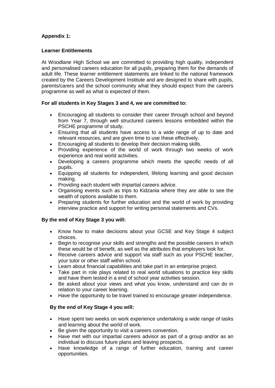#### **Appendix 1:**

#### **Learner Entitlements**

At Woodlane High School we are committed to providing high quality, independent and personalised careers education for all pupils, preparing them for the demands of adult life. These learner entitlement statements are linked to the national framework created by the Careers Development Institute and are designed to share with pupils, parents/carers and the school community what they should expect from the careers programme as well as what is expected of them.

#### **For all students in Key Stages 3 and 4, we are committed to:**

- Encouraging all students to consider their career through school and beyond from Year 7, through well structured careers lessons embedded within the PSCHE programme of study.
- Ensuring that all students have access to a wide range of up to date and relevant resources, and are given time to use these effectively.
- Encouraging all students to develop their decision making skills.
- Providing experience of the world of work through two weeks of work experience and real world activities.
- Developing a careers programme which meets the specific needs of all pupils.
- Equipping all students for independent, lifelong learning and good decision making.
- Providing each student with impartial careers advice.
- Organising events such as trips to Kidzania where they are able to see the wealth of options available to them.
- Preparing students for further education and the world of work by providing interview practice and support for writing personal statements and CVs.

#### **By the end of Key Stage 3 you will:**

- Know how to make decisions about your GCSE and Key Stage 4 subject choices.
- Begin to recognise your skills and strengths and the possible careers in which these would be of benefit, as well as the attributes that employers look for.
- Receive careers advice and support via staff such as your PSCHE teacher. your tutor or other staff within school.
- Learn about financial capabilities and take part in an enterprise project.
- Take part in role plays related to real world situations to practice key skills and have them tested in a end of school year activities session.
- Be asked about your views and what you know, understand and can do in relation to your career learning.
- Have the opportunity to be travel trained to encourage greater independence.

#### **By the end of Key Stage 4 you will:**

- Have spent two weeks on work experience undertaking a wide range of tasks and learning about the world of work.
- Be given the opportunity to visit a careers convention.
- Have met with our impartial careers advisor as part of a group and/or as an individual to discuss future plans and leaving prospects.
- Have knowledge of a range of further education, training and career opportunities.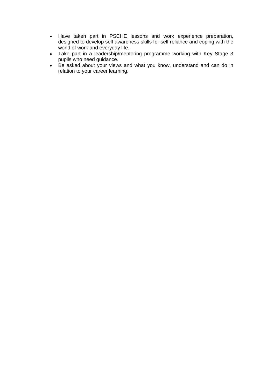- Have taken part in PSCHE lessons and work experience preparation, designed to develop self awareness skills for self reliance and coping with the world of work and everyday life.
- Take part in a leadership/mentoring programme working with Key Stage 3 pupils who need guidance.
- Be asked about your views and what you know, understand and can do in relation to your career learning.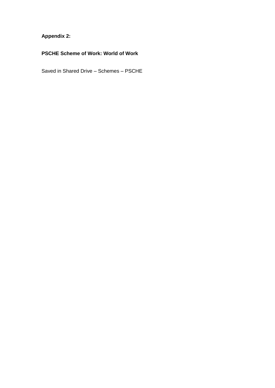# **Appendix 2:**

# **PSCHE Scheme of Work: World of Work**

Saved in Shared Drive – Schemes – PSCHE